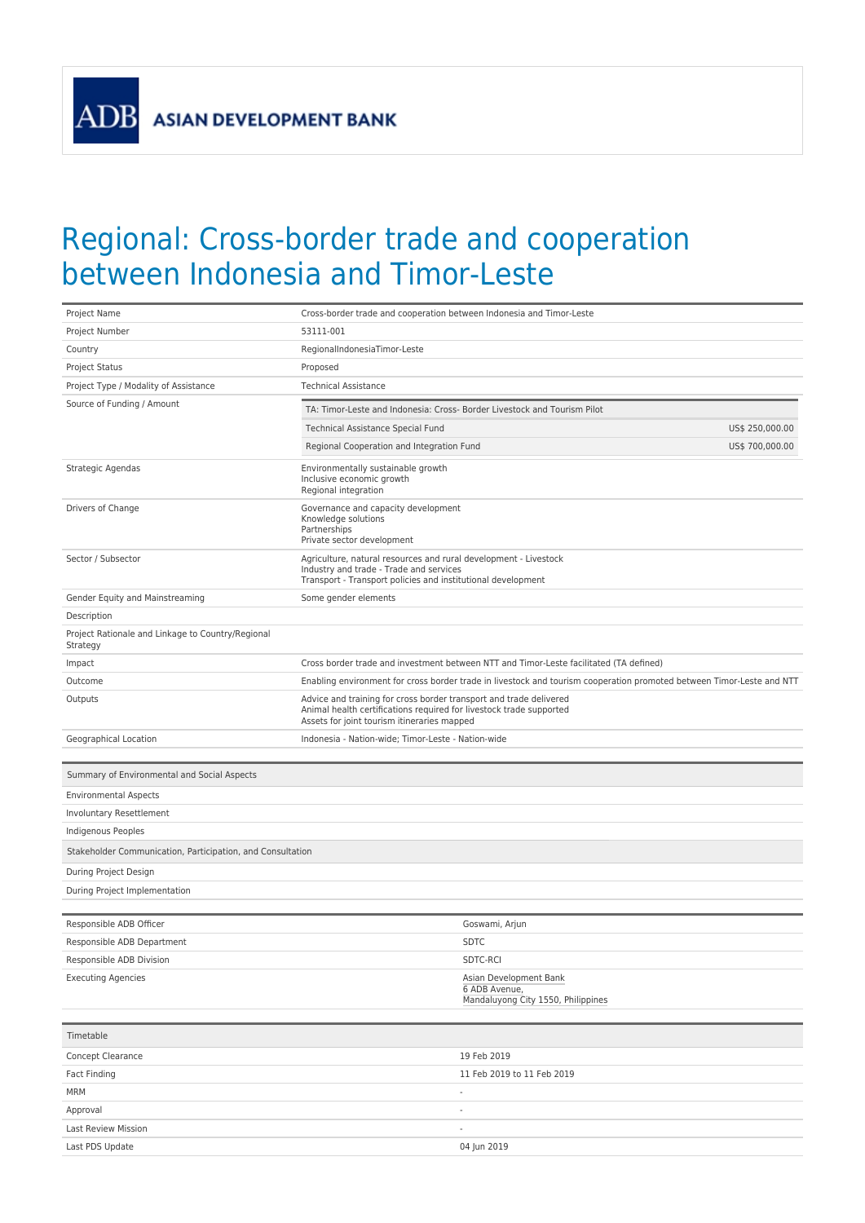**ADB** 

## Regional: Cross-border trade and cooperation between Indonesia and Timor-Leste

| Project Name                                                  | Cross-border trade and cooperation between Indonesia and Timor-Leste                                                                                                                     |
|---------------------------------------------------------------|------------------------------------------------------------------------------------------------------------------------------------------------------------------------------------------|
| Project Number                                                | 53111-001                                                                                                                                                                                |
| Country                                                       | RegionalIndonesiaTimor-Leste                                                                                                                                                             |
| Project Status                                                | Proposed                                                                                                                                                                                 |
| Project Type / Modality of Assistance                         | <b>Technical Assistance</b>                                                                                                                                                              |
| Source of Funding / Amount                                    | TA: Timor-Leste and Indonesia: Cross- Border Livestock and Tourism Pilot                                                                                                                 |
|                                                               | Technical Assistance Special Fund<br>US\$ 250,000.00                                                                                                                                     |
|                                                               | Regional Cooperation and Integration Fund<br>US\$ 700,000.00                                                                                                                             |
| Strategic Agendas                                             | Environmentally sustainable growth<br>Inclusive economic growth<br>Regional integration                                                                                                  |
| Drivers of Change                                             | Governance and capacity development<br>Knowledge solutions<br>Partnerships<br>Private sector development                                                                                 |
| Sector / Subsector                                            | Agriculture, natural resources and rural development - Livestock<br>Industry and trade - Trade and services<br>Transport - Transport policies and institutional development              |
| Gender Equity and Mainstreaming                               | Some gender elements                                                                                                                                                                     |
| Description                                                   |                                                                                                                                                                                          |
| Project Rationale and Linkage to Country/Regional<br>Strategy |                                                                                                                                                                                          |
| Impact                                                        | Cross border trade and investment between NTT and Timor-Leste facilitated (TA defined)                                                                                                   |
| Outcome                                                       | Enabling environment for cross border trade in livestock and tourism cooperation promoted between Timor-Leste and NTT                                                                    |
| Outputs                                                       | Advice and training for cross border transport and trade delivered<br>Animal health certifications required for livestock trade supported<br>Assets for joint tourism itineraries mapped |
| Geographical Location                                         | Indonesia - Nation-wide; Timor-Leste - Nation-wide                                                                                                                                       |
| Summary of Environmental and Social Aspects                   |                                                                                                                                                                                          |
|                                                               |                                                                                                                                                                                          |
| <b>Environmental Aspects</b>                                  |                                                                                                                                                                                          |
| Involuntary Resettlement                                      |                                                                                                                                                                                          |
| Indigenous Peoples                                            |                                                                                                                                                                                          |
| Stakeholder Communication, Participation, and Consultation    |                                                                                                                                                                                          |
| During Project Design                                         |                                                                                                                                                                                          |
| During Project Implementation                                 |                                                                                                                                                                                          |
|                                                               |                                                                                                                                                                                          |
| Responsible ADB Officer                                       | Goswami, Arjun                                                                                                                                                                           |
| Responsible ADB Department                                    | <b>SDTC</b>                                                                                                                                                                              |
| Responsible ADB Division                                      | SDTC-RCI                                                                                                                                                                                 |
| <b>Executing Agencies</b>                                     | Asian Development Bank<br>6 ADB Avenue,<br>Mandaluyong City 1550, Philippines                                                                                                            |
| Timetable                                                     |                                                                                                                                                                                          |
| Concept Clearance                                             | 19 Feb 2019                                                                                                                                                                              |
| <b>Fact Finding</b>                                           | 11 Feb 2019 to 11 Feb 2019                                                                                                                                                               |
| <b>MRM</b>                                                    | $\overline{\phantom{a}}$                                                                                                                                                                 |
| Approval                                                      |                                                                                                                                                                                          |
| Last Review Mission                                           |                                                                                                                                                                                          |